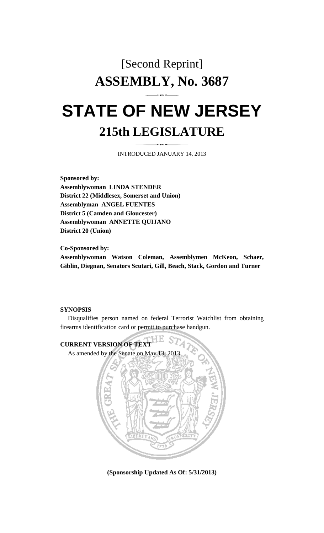## [Second Reprint] **ASSEMBLY, No. 3687**

## **STATE OF NEW JERSEY 215th LEGISLATURE**

INTRODUCED JANUARY 14, 2013

**Sponsored by: Assemblywoman LINDA STENDER District 22 (Middlesex, Somerset and Union) Assemblyman ANGEL FUENTES District 5 (Camden and Gloucester) Assemblywoman ANNETTE QUIJANO District 20 (Union)** 

**Co-Sponsored by: Assemblywoman Watson Coleman, Assemblymen McKeon, Schaer, Giblin, Diegnan, Senators Scutari, Gill, Beach, Stack, Gordon and Turner** 

## **SYNOPSIS**

 Disqualifies person named on federal Terrorist Watchlist from obtaining firearms identification card or permit to purchase handgun.



**(Sponsorship Updated As Of: 5/31/2013)**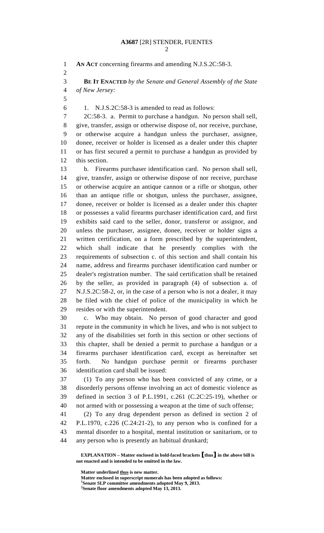1 **AN ACT** concerning firearms and amending N.J.S.2C:58-3.

2

3 **BE IT ENACTED** *by the Senate and General Assembly of the State*  4 *of New Jersey:*

5

6 1. N.J.S.2C:58-3 is amended to read as follows:

7 2C:58-3. a. Permit to purchase a handgun. No person shall sell, 8 give, transfer, assign or otherwise dispose of, nor receive, purchase, 9 or otherwise acquire a handgun unless the purchaser, assignee, 10 donee, receiver or holder is licensed as a dealer under this chapter 11 or has first secured a permit to purchase a handgun as provided by 12 this section.

13 b. Firearms purchaser identification card. No person shall sell, 14 give, transfer, assign or otherwise dispose of nor receive, purchase 15 or otherwise acquire an antique cannon or a rifle or shotgun, other 16 than an antique rifle or shotgun, unless the purchaser, assignee, 17 donee, receiver or holder is licensed as a dealer under this chapter 18 or possesses a valid firearms purchaser identification card, and first 19 exhibits said card to the seller, donor, transferor or assignor, and 20 unless the purchaser, assignee, donee, receiver or holder signs a 21 written certification, on a form prescribed by the superintendent, 22 which shall indicate that he presently complies with the 23 requirements of subsection c. of this section and shall contain his 24 name, address and firearms purchaser identification card number or 25 dealer's registration number. The said certification shall be retained 26 by the seller, as provided in paragraph (4) of subsection a. of 27 N.J.S.2C:58-2, or, in the case of a person who is not a dealer, it may 28 be filed with the chief of police of the municipality in which he 29 resides or with the superintendent.

30 c. Who may obtain. No person of good character and good 31 repute in the community in which he lives, and who is not subject to 32 any of the disabilities set forth in this section or other sections of 33 this chapter, shall be denied a permit to purchase a handgun or a 34 firearms purchaser identification card, except as hereinafter set 35 forth. No handgun purchase permit or firearms purchaser 36 identification card shall be issued:

37 (1) To any person who has been convicted of any crime, or a 38 disorderly persons offense involving an act of domestic violence as 39 defined in section 3 of P.L.1991, c.261 (C.2C:25-19), whether or 40 not armed with or possessing a weapon at the time of such offense;

41 (2) To any drug dependent person as defined in section 2 of 42 P.L.1970, c.226 (C.24:21-2), to any person who is confined for a 43 mental disorder to a hospital, mental institution or sanitarium, or to 44 any person who is presently an habitual drunkard;

 **EXPLANATION – Matter enclosed in bold-faced brackets** [**thus**] **in the above bill is not enacted and is intended to be omitted in the law.** 

**Matter underlined thus is new matter.** 

Matter enclosed in superscript numerals has been adopted as follows: **Senate SLP committee amendments adopted May 9, 2013.** 

**2 Senate floor amendments adopted May 13, 2013.**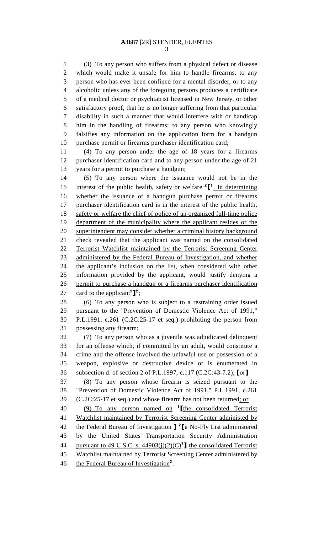1 (3) To any person who suffers from a physical defect or disease 2 which would make it unsafe for him to handle firearms, to any 3 person who has ever been confined for a mental disorder, or to any 4 alcoholic unless any of the foregoing persons produces a certificate 5 of a medical doctor or psychiatrist licensed in New Jersey, or other 6 satisfactory proof, that he is no longer suffering from that particular 7 disability in such a manner that would interfere with or handicap 8 him in the handling of firearms; to any person who knowingly 9 falsifies any information on the application form for a handgun 10 purchase permit or firearms purchaser identification card;

11 (4) To any person under the age of 18 years for a firearms 12 purchaser identification card and to any person under the age of 21 13 years for a permit to purchase a handgun;

14 (5) To any person where the issuance would not be in the 15 interest of the public health, safety or welfare  ${}^{2}$ [ $\frac{1}{\cdot}$  In determining 16 whether the issuance of a handgun purchase permit or firearms 17 purchaser identification card is in the interest of the public health, 18 safety or welfare the chief of police of an organized full-time police 19 department of the municipality where the applicant resides or the 20 superintendent may consider whether a criminal history background 21 check revealed that the applicant was named on the consolidated 22 Terrorist Watchlist maintained by the Terrorist Screening Center 23 administered by the Federal Bureau of Investigation, and whether 24 the applicant's inclusion on the list, when considered with other 25 information provided by the applicant, would justify denying a 26 permit to purchase a handgun or a firearms purchaser identification 27 card to the applicant<sup>1</sup><sup>2</sup>;

28 (6) To any person who is subject to a restraining order issued 29 pursuant to the "Prevention of Domestic Violence Act of 1991," 30 P.L.1991, c.261 (C.2C:25-17 et seq.) prohibiting the person from 31 possessing any firearm;

32 (7) To any person who as a juvenile was adjudicated delinquent 33 for an offense which, if committed by an adult, would constitute a 34 crime and the offense involved the unlawful use or possession of a 35 weapon, explosive or destructive device or is enumerated in 36 subsection d. of section 2 of P.L.1997, c.117 (C.2C:43-7.2); [or]

37 (8) To any person whose firearm is seized pursuant to the 38 "Prevention of Domestic Violence Act of 1991," P.L.1991, c.261 39 (C.2C:25-17 et seq.) and whose firearm has not been returned; or

40  $(9)$  To any person named on  $\int$ [the consolidated Terrorist] 41 Watchlist maintained by Terrorist Screening Center administed by 42 the Federal Bureau of Investigation  $\int_{a}^{2}$  [a No-Fly List administered 43 by the United States Transportation Security Administration 44 pursuant to 49 U.S.C. s.  $44903(j)(2)(C)^{1}$  the consolidated Terrorist 45 Watchlist maintained by Terrorist Screening Center administered by 46 the Federal Bureau of Investigation<sup>2</sup>.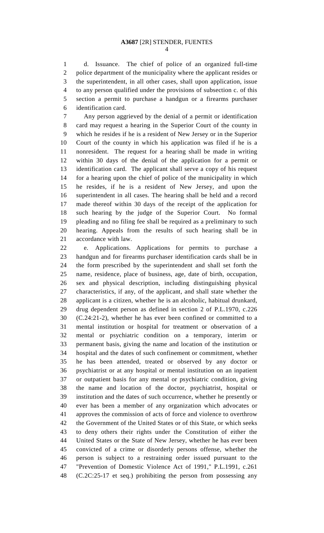1 d. Issuance. The chief of police of an organized full-time 2 police department of the municipality where the applicant resides or 3 the superintendent, in all other cases, shall upon application, issue 4 to any person qualified under the provisions of subsection c. of this 5 section a permit to purchase a handgun or a firearms purchaser 6 identification card.

7 Any person aggrieved by the denial of a permit or identification 8 card may request a hearing in the Superior Court of the county in 9 which he resides if he is a resident of New Jersey or in the Superior 10 Court of the county in which his application was filed if he is a 11 nonresident. The request for a hearing shall be made in writing 12 within 30 days of the denial of the application for a permit or 13 identification card. The applicant shall serve a copy of his request 14 for a hearing upon the chief of police of the municipality in which 15 he resides, if he is a resident of New Jersey, and upon the 16 superintendent in all cases. The hearing shall be held and a record 17 made thereof within 30 days of the receipt of the application for 18 such hearing by the judge of the Superior Court. No formal 19 pleading and no filing fee shall be required as a preliminary to such 20 hearing. Appeals from the results of such hearing shall be in 21 accordance with law.

22 e. Applications. Applications for permits to purchase a 23 handgun and for firearms purchaser identification cards shall be in 24 the form prescribed by the superintendent and shall set forth the 25 name, residence, place of business, age, date of birth, occupation, 26 sex and physical description, including distinguishing physical 27 characteristics, if any, of the applicant, and shall state whether the 28 applicant is a citizen, whether he is an alcoholic, habitual drunkard, 29 drug dependent person as defined in section 2 of P.L.1970, c.226 30 (C.24:21-2), whether he has ever been confined or committed to a 31 mental institution or hospital for treatment or observation of a 32 mental or psychiatric condition on a temporary, interim or 33 permanent basis, giving the name and location of the institution or 34 hospital and the dates of such confinement or commitment, whether 35 he has been attended, treated or observed by any doctor or 36 psychiatrist or at any hospital or mental institution on an inpatient 37 or outpatient basis for any mental or psychiatric condition, giving 38 the name and location of the doctor, psychiatrist, hospital or 39 institution and the dates of such occurrence, whether he presently or 40 ever has been a member of any organization which advocates or 41 approves the commission of acts of force and violence to overthrow 42 the Government of the United States or of this State, or which seeks 43 to deny others their rights under the Constitution of either the 44 United States or the State of New Jersey, whether he has ever been 45 convicted of a crime or disorderly persons offense, whether the 46 person is subject to a restraining order issued pursuant to the 47 "Prevention of Domestic Violence Act of 1991," P.L.1991, c.261 48 (C.2C:25-17 et seq.) prohibiting the person from possessing any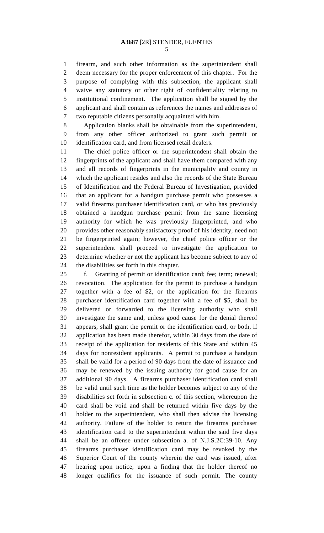5

1 firearm, and such other information as the superintendent shall 2 deem necessary for the proper enforcement of this chapter. For the 3 purpose of complying with this subsection, the applicant shall 4 waive any statutory or other right of confidentiality relating to 5 institutional confinement. The application shall be signed by the 6 applicant and shall contain as references the names and addresses of 7 two reputable citizens personally acquainted with him.

8 Application blanks shall be obtainable from the superintendent, 9 from any other officer authorized to grant such permit or 10 identification card, and from licensed retail dealers.

11 The chief police officer or the superintendent shall obtain the 12 fingerprints of the applicant and shall have them compared with any 13 and all records of fingerprints in the municipality and county in 14 which the applicant resides and also the records of the State Bureau 15 of Identification and the Federal Bureau of Investigation, provided 16 that an applicant for a handgun purchase permit who possesses a 17 valid firearms purchaser identification card, or who has previously 18 obtained a handgun purchase permit from the same licensing 19 authority for which he was previously fingerprinted, and who 20 provides other reasonably satisfactory proof of his identity, need not 21 be fingerprinted again; however, the chief police officer or the 22 superintendent shall proceed to investigate the application to 23 determine whether or not the applicant has become subject to any of 24 the disabilities set forth in this chapter.

25 f. Granting of permit or identification card; fee; term; renewal; 26 revocation. The application for the permit to purchase a handgun 27 together with a fee of \$2, or the application for the firearms 28 purchaser identification card together with a fee of \$5, shall be 29 delivered or forwarded to the licensing authority who shall 30 investigate the same and, unless good cause for the denial thereof 31 appears, shall grant the permit or the identification card, or both, if 32 application has been made therefor, within 30 days from the date of 33 receipt of the application for residents of this State and within 45 34 days for nonresident applicants. A permit to purchase a handgun 35 shall be valid for a period of 90 days from the date of issuance and 36 may be renewed by the issuing authority for good cause for an 37 additional 90 days. A firearms purchaser identification card shall 38 be valid until such time as the holder becomes subject to any of the 39 disabilities set forth in subsection c. of this section, whereupon the 40 card shall be void and shall be returned within five days by the 41 holder to the superintendent, who shall then advise the licensing 42 authority. Failure of the holder to return the firearms purchaser 43 identification card to the superintendent within the said five days 44 shall be an offense under subsection a. of N.J.S.2C:39-10. Any 45 firearms purchaser identification card may be revoked by the 46 Superior Court of the county wherein the card was issued, after 47 hearing upon notice, upon a finding that the holder thereof no 48 longer qualifies for the issuance of such permit. The county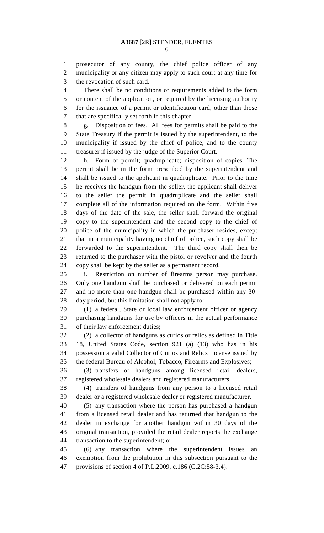1 prosecutor of any county, the chief police officer of any 2 municipality or any citizen may apply to such court at any time for 3 the revocation of such card.

4 There shall be no conditions or requirements added to the form 5 or content of the application, or required by the licensing authority 6 for the issuance of a permit or identification card, other than those 7 that are specifically set forth in this chapter.

8 g. Disposition of fees. All fees for permits shall be paid to the 9 State Treasury if the permit is issued by the superintendent, to the 10 municipality if issued by the chief of police, and to the county 11 treasurer if issued by the judge of the Superior Court.

12 h. Form of permit; quadruplicate; disposition of copies. The 13 permit shall be in the form prescribed by the superintendent and 14 shall be issued to the applicant in quadruplicate. Prior to the time 15 he receives the handgun from the seller, the applicant shall deliver 16 to the seller the permit in quadruplicate and the seller shall 17 complete all of the information required on the form. Within five 18 days of the date of the sale, the seller shall forward the original 19 copy to the superintendent and the second copy to the chief of 20 police of the municipality in which the purchaser resides, except 21 that in a municipality having no chief of police, such copy shall be 22 forwarded to the superintendent. The third copy shall then be 23 returned to the purchaser with the pistol or revolver and the fourth 24 copy shall be kept by the seller as a permanent record.

25 i. Restriction on number of firearms person may purchase. 26 Only one handgun shall be purchased or delivered on each permit 27 and no more than one handgun shall be purchased within any 30- 28 day period, but this limitation shall not apply to:

29 (1) a federal, State or local law enforcement officer or agency 30 purchasing handguns for use by officers in the actual performance 31 of their law enforcement duties;

32 (2) a collector of handguns as curios or relics as defined in Title 33 18, United States Code, section 921 (a) (13) who has in his 34 possession a valid Collector of Curios and Relics License issued by 35 the federal Bureau of Alcohol, Tobacco, Firearms and Explosives;

36 (3) transfers of handguns among licensed retail dealers, 37 registered wholesale dealers and registered manufacturers

38 (4) transfers of handguns from any person to a licensed retail 39 dealer or a registered wholesale dealer or registered manufacturer.

40 (5) any transaction where the person has purchased a handgun 41 from a licensed retail dealer and has returned that handgun to the 42 dealer in exchange for another handgun within 30 days of the 43 original transaction, provided the retail dealer reports the exchange 44 transaction to the superintendent; or

45 (6) any transaction where the superintendent issues an 46 exemption from the prohibition in this subsection pursuant to the 47 provisions of section 4 of P.L.2009, c.186 (C.2C:58-3.4).